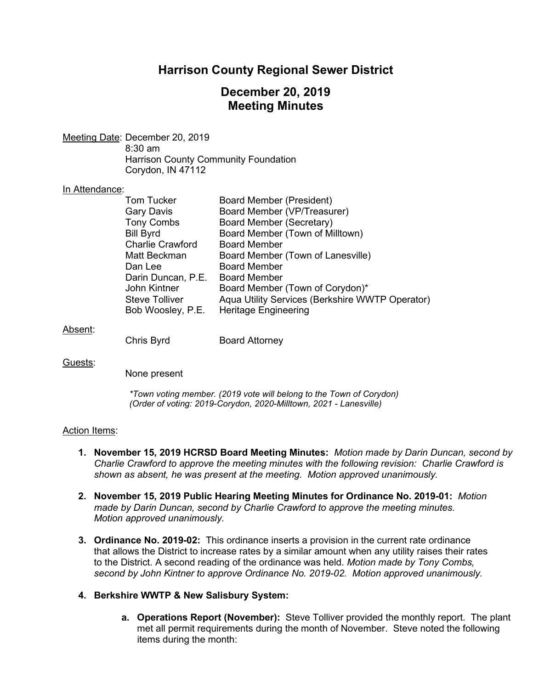# **Harrison County Regional Sewer District**

# **December 20, 2019 Meeting Minutes**

Meeting Date: December 20, 2019 8:30 am Harrison County Community Foundation Corydon, IN 47112

#### In Attendance:

| <b>Tom Tucker</b>       | <b>Board Member (President)</b>                 |
|-------------------------|-------------------------------------------------|
| <b>Gary Davis</b>       | Board Member (VP/Treasurer)                     |
| <b>Tony Combs</b>       | <b>Board Member (Secretary)</b>                 |
| <b>Bill Byrd</b>        | Board Member (Town of Milltown)                 |
| <b>Charlie Crawford</b> | <b>Board Member</b>                             |
| Matt Beckman            | Board Member (Town of Lanesville)               |
| Dan Lee                 | <b>Board Member</b>                             |
| Darin Duncan, P.E.      | <b>Board Member</b>                             |
| John Kintner            | Board Member (Town of Corydon)*                 |
| <b>Steve Tolliver</b>   | Aqua Utility Services (Berkshire WWTP Operator) |
| Bob Woosley, P.E.       | <b>Heritage Engineering</b>                     |
|                         |                                                 |

Absent:

Chris Byrd Board Attorney

Guests:

None present

*\*Town voting member. (2019 vote will belong to the Town of Corydon) (Order of voting: 2019-Corydon, 2020-Milltown, 2021 - Lanesville)*

#### Action Items:

- **1. November 15, 2019 HCRSD Board Meeting Minutes:** *Motion made by Darin Duncan, second by Charlie Crawford to approve the meeting minutes with the following revision: Charlie Crawford is shown as absent, he was present at the meeting. Motion approved unanimously.*
- **2. November 15, 2019 Public Hearing Meeting Minutes for Ordinance No. 2019-01:** *Motion made by Darin Duncan, second by Charlie Crawford to approve the meeting minutes. Motion approved unanimously.*
- **3. Ordinance No. 2019-02:** This ordinance inserts a provision in the current rate ordinance that allows the District to increase rates by a similar amount when any utility raises their rates to the District. A second reading of the ordinance was held. *Motion made by Tony Combs, second by John Kintner to approve Ordinance No. 2019-02. Motion approved unanimously.*

### **4. Berkshire WWTP & New Salisbury System:**

**a. Operations Report (November):** Steve Tolliver provided the monthly report. The plant met all permit requirements during the month of November. Steve noted the following items during the month: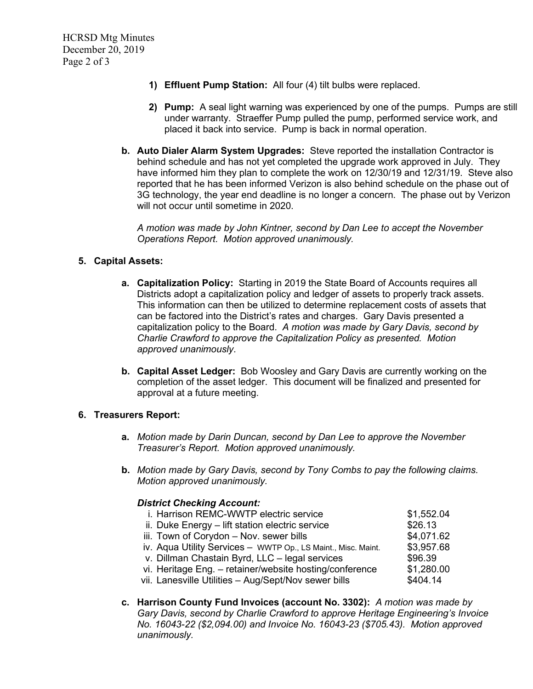- **1) Effluent Pump Station:** All four (4) tilt bulbs were replaced.
- **2) Pump:** A seal light warning was experienced by one of the pumps. Pumps are still under warranty. Straeffer Pump pulled the pump, performed service work, and placed it back into service. Pump is back in normal operation.
- **b. Auto Dialer Alarm System Upgrades:** Steve reported the installation Contractor is behind schedule and has not yet completed the upgrade work approved in July. They have informed him they plan to complete the work on 12/30/19 and 12/31/19. Steve also reported that he has been informed Verizon is also behind schedule on the phase out of 3G technology, the year end deadline is no longer a concern. The phase out by Verizon will not occur until sometime in 2020.

*A motion was made by John Kintner, second by Dan Lee to accept the November Operations Report. Motion approved unanimously.*

### **5. Capital Assets:**

- **a. Capitalization Policy:** Starting in 2019 the State Board of Accounts requires all Districts adopt a capitalization policy and ledger of assets to properly track assets. This information can then be utilized to determine replacement costs of assets that can be factored into the District's rates and charges. Gary Davis presented a capitalization policy to the Board. *A motion was made by Gary Davis, second by Charlie Crawford to approve the Capitalization Policy as presented. Motion approved unanimously*.
- **b. Capital Asset Ledger:** Bob Woosley and Gary Davis are currently working on the completion of the asset ledger. This document will be finalized and presented for approval at a future meeting.

#### **6. Treasurers Report:**

- **a.** *Motion made by Darin Duncan, second by Dan Lee to approve the November Treasurer's Report. Motion approved unanimously.*
- **b.** *Motion made by Gary Davis, second by Tony Combs to pay the following claims. Motion approved unanimously.*

#### *District Checking Account:*

| i. Harrison REMC-WWTP electric service                        | \$1,552.04 |
|---------------------------------------------------------------|------------|
| ii. Duke Energy - lift station electric service               | \$26.13    |
| iii. Town of Corydon - Nov. sewer bills                       | \$4,071.62 |
| iv. Aqua Utility Services - WWTP Op., LS Maint., Misc. Maint. | \$3,957.68 |
| v. Dillman Chastain Byrd, LLC - legal services                | \$96.39    |
| vi. Heritage Eng. - retainer/website hosting/conference       | \$1,280.00 |
| vii. Lanesville Utilities - Aug/Sept/Nov sewer bills          | \$404.14   |

**c. Harrison County Fund Invoices (account No. 3302):** *A motion was made by Gary Davis, second by Charlie Crawford to approve Heritage Engineering's Invoice No. 16043-22 (\$2,094.00) and Invoice No. 16043-23 (\$705.43). Motion approved unanimously.*